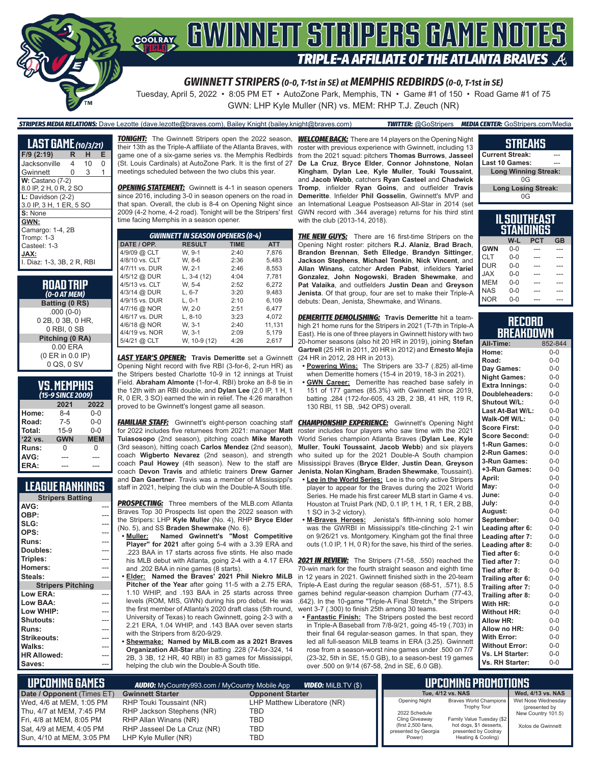

#### *GWINNETT STRIPERS (0-0, T-1st in SE) at MEMPHIS REDBIRDS (0-0, T-1st in SE)*

Tuesday, April 5, 2022 • 8:05 PM ET • AutoZone Park, Memphis, TN • Game #1 of 150 • Road Game #1 of 75 GWN: LHP Kyle Muller (NR) vs. MEM: RHP T.J. Zeuch (NR)

### *STRIPERS MEDIA RELATIONS:* Dave Lezotte (dave.lezotte@braves.com), Bailey Knight (bailey.knight@braves.com) *TWITTER:* @GoStripers *MEDIA CENTER:* GoStripers.com/Media

| <b>LAST GAME</b> (10/3/21)                                                                   |   |    |   |
|----------------------------------------------------------------------------------------------|---|----|---|
| F/9 (2:19)                                                                                   | R | н  | Е |
| Jacksonville                                                                                 | 4 | 10 | O |
| Gwinnett                                                                                     | 0 | 3  | 1 |
| $W:$ Castano (7-2)<br>8.0 IP, 2 H, 0 R, 2 SO                                                 |   |    |   |
| $L:$ Davidson $(2-2)$<br>3.0 IP, 3 H, 1 ER, 5 SO                                             |   |    |   |
| S: None                                                                                      |   |    |   |
| GWN:<br>Camargo: 1-4, 2B<br>Tromp: 1-3<br>Casteel: 1-3<br>JAX:<br>I. Diaz: 1-3. 3B. 2 R. RBI |   |    |   |

**ROAD TRIP** *(0-0 AT MEM)* **Batting (0 RS)**

.000 (0-0) 0 2B, 0 3B, 0 HR, 0 RBI, 0 SB **Pitching (0 RA)** 0.00 ERA (0 ER in 0.0 IP) 0 QS, 0 SV

| <u>VS.MEMPHIS</u><br>(15-9 SINCE 2009) |            |            |  |  |  |  |  |  |
|----------------------------------------|------------|------------|--|--|--|--|--|--|
|                                        | 2021       | 2022       |  |  |  |  |  |  |
| Home:                                  | $8-4$      | 0-0        |  |  |  |  |  |  |
| Road:                                  | 7-5        | $0 - 0$    |  |  |  |  |  |  |
| Total:                                 | $15 - 9$   | $0 - 0$    |  |  |  |  |  |  |
| '22 vs.                                | <b>GWN</b> | <b>MEM</b> |  |  |  |  |  |  |
| Runs:                                  | U          | N          |  |  |  |  |  |  |
| AVG:                                   |            |            |  |  |  |  |  |  |

### **LEAGUE RANKINGS**

**ERA:** 

| <b>Stripers Batting</b>  |  |
|--------------------------|--|
| AVG:                     |  |
| OBP:                     |  |
| SLG:                     |  |
| OPS:                     |  |
| Runs:                    |  |
| Doubles:                 |  |
| Triples:                 |  |
| Homers:                  |  |
| Steals:                  |  |
| <b>Stripers Pitching</b> |  |
| Low ERA:                 |  |
| Low BAA:                 |  |
| Low WHIP:                |  |
| Shutouts:                |  |
| <b>Runs:</b>             |  |
| <b>Strikeouts:</b>       |  |
| Walks:                   |  |
| <b>HR Allowed:</b>       |  |
| Saves:                   |  |

*TONIGHT:* The Gwinnett Stripers open the 2022 season, *WELCOME BACK:* There are 14 players on the Opening Night their 13th as the Triple-A affiliate of the Atlanta Braves, with game one of a six-game series vs. the Memphis Redbirds (St. Louis Cardinals) at AutoZone Park. It is the first of 27 meetings scheduled between the two clubs this year.

**OPENING STATEMENT:** Gwinnett is 4-1 in season openers since 2016, including 3-0 in season openers on the road in that span. Overall, the club is 8-4 on Opening Night since 2009 (4-2 home, 4-2 road). Tonight will be the Stripers' first time facing Memphis in a season opener.

| <b>GWINNETT IN SEASON OPENERS (8-4)</b> |               |             |            |  |  |  |  |  |  |
|-----------------------------------------|---------------|-------------|------------|--|--|--|--|--|--|
| DATE / OPP.                             | <b>RESULT</b> | <b>TIME</b> | <b>ATT</b> |  |  |  |  |  |  |
| 4/9/09 @ CLT                            | W. 9-1        | 2:40        | 7.876      |  |  |  |  |  |  |
| 4/8/10 vs. CLT                          | W. 8-6        | 2:36        | 5.483      |  |  |  |  |  |  |
| 4/7/11 vs. DUR                          | W. 2-1        | 2:46        | 8.553      |  |  |  |  |  |  |
| 4/5/12 @ DUR                            | $L, 3-4(12)$  | 4:04        | 7,781      |  |  |  |  |  |  |
| 4/5/13 vs. CLT                          | W. 5-4        | 2:52        | 6.272      |  |  |  |  |  |  |
| 4/3/14 @ DUR                            | $L. 6-7$      | 3:20        | 9.483      |  |  |  |  |  |  |
| 4/9/15 vs. DUR                          | $L. 0-1$      | 2:10        | 6.109      |  |  |  |  |  |  |
| 4/7/16 @ NOR                            | W. 2-0        | 2:51        | 6.477      |  |  |  |  |  |  |
| 4/6/17 vs. DUR                          | $L.8-10$      | 3:23        | 4.072      |  |  |  |  |  |  |
| 4/6/18 @ NOR                            | W. 3-1        | 2:40        | 11.131     |  |  |  |  |  |  |
| 4/4/19 vs. NOR                          | W. 3-1        | 2:09        | 5.179      |  |  |  |  |  |  |
| 5/4/21 @ CLT                            | W, 10-9 (12)  | 4:26        | 2.617      |  |  |  |  |  |  |

*LAST YEAR'S OPENER:* **Travis Demeritte** set a Gwinnett Opening Night record with five RBI (3-for-6, 2-run HR) as the Stripers bested Charlotte 10-9 in 12 innings at Truist Field. **Abraham Almonte** (1-for-4, RBI) broke an 8-8 tie in the 12th with an RBI double, and **Dylan Lee** (2.0 IP, 1 H, 1 R, 0 ER, 3 SO) earned the win in relief. The 4:26 marathon proved to be Gwinnett's longest game all season.

**FAMILIAR STAFF:** Gwinnett's eight-person coaching staff **Tuiasosopo** (2nd season), pitching coach **Mike Maroth**  (3rd season), hitting coach **Carlos Mendez** (2nd season), coach **Wigberto Nevarez** (2nd season), and strength coach **Paul Howey** (4th season). New to the staff are coach **Devon Travis** and athletic trainers **Drew Garner** and **Dan Gaertner**. Travis was a member of Mississippi's staff in 2021, helping the club win the Double-A South title.

*PROSPECTING:* Three members of the MLB.com Atlanta Braves Top 30 Prospects list open the 2022 season with the Stripers: LHP **Kyle Muller** (No. 4), RHP **Bryce Elder** (No. 5), and SS **Braden Shewmake** (No. 6).

- **• Muller: Named Gwinnett's "Most Competitive Player" for 2021** after going 5-4 with a 3.39 ERA and .223 BAA in 17 starts across five stints. He also made his MLB debut with Atlanta, going 2-4 with a 4.17 ERA and .202 BAA in nine games (8 starts).
- **• Elder: Named the Braves' 2021 Phil Niekro MiLB Pitcher of the Year** after going 11-5 with a 2.75 ERA, 1.10 WHIP, and .193 BAA in 25 starts across three levels (ROM, MIS, GWN) during his pro debut. He was the first member of Atlanta's 2020 draft class (5th round, University of Texas) to reach Gwinnett, going 2-3 with a 2.21 ERA, 1.04 WHIP, and .143 BAA over seven starts with the Stripers from 8/20-9/29.
- **• Shewmake: Named by MiLB.com as a 2021 Braves Organization All-Star** after batting .228 (74-for-324, 14 2B, 3 3B, 12 HR, 40 RBI) in 83 games for Mississippi, helping the club win the Double-A South title.

roster with previous experience with Gwinnett, including 13 from the 2021 squad: pitchers **Thomas Burrows**, **Jasseel De La Cruz**, **Bryce Elder**, **Connor Johnstone**, **Nolan Kingham**, **Dylan Lee**, **Kyle Muller**, **Touki Toussaint**, and **Jacob Webb**, catchers **Ryan Casteel** and **Chadwick Tromp**, infielder **Ryan Goins**, and outfielder **Travis Demeritte**. Infielder **Phil Gosselin**, Gwinnett's MVP and an International League Postseason All-Star in 2014 (set GWN record with .344 average) returns for his third stint with the club (2013-14, 2018).

**THE NEW GUYS:** There are 16 first-time Stripers on the Opening Night roster: pitchers **R.J. Alaniz**, **Brad Brach**, **Brandon Brennan**, **Seth Elledge**, **Brandyn Sittinger**, **Jackson Stephens**, **Michael Tonkin**, **Nick Vincent**, and **Allan Winans**, catcher **Arden Pabst**, infielders **Yariel Gonzalez**, **John Nogowski**, **Braden Shewmake**, and **Pat Valaika**, and outfielders **Justin Dean** and **Greyson Jenista**. Of that group, four are set to make their Triple-A debuts: Dean, Jenista, Shewmake, and Winans.

*DEMERITTE DEMOLISHING:* **Travis Demeritte** hit a teamhigh 21 home runs for the Stripers in 2021 (T-7th in Triple-A East). He is one of three players in Gwinnett history with two 20-homer seasons (also hit 20 HR in 2019), joining **Stefan Gartrell** (25 HR in 2011, 20 HR in 2012) and **Ernesto Mejia** (24 HR in 2012, 28 HR in 2013).

- **• Powering Wins:** The Stripers are 33-7 (.825) all-time when Demeritte homers (15-4 in 2019, 18-3 in 2021).
- **• GWN Career:** Demeritte has reached base safely in 151 of 177 games (85.3%) with Gwinnett since 2019, batting .284 (172-for-605, 43 2B, 2 3B, 41 HR, 119 R, 130 RBI, 11 SB, .942 OPS) overall.

for 2022 includes five returnees from 2021: manager **Matt**  roster includes four players who saw time with the 2021 **CHAMPIONSHIP EXPERIENCE:** Gwinnett's Opening Night World Series champion Atlanta Braves (**Dylan Lee**, **Kyle Muller**, **Touki Toussaint**, **Jacob Webb**) and six players who suited up for the 2021 Double-A South champion Mississippi Braves (**Bryce Elder**, **Justin Dean**, **Greyson Jenista**, **Nolan Kingham**, **Braden Shewmake**, Toussaint).

- **• Lee in the World Series:** Lee is the only active Stripers player to appear for the Braves during the 2021 World Series. He made his first career MLB start in Game 4 vs. Houston at Truist Park (ND, 0.1 IP, 1 H, 1 R, 1 ER, 2 BB, 1 SO in 3-2 victory).
- **• M-Braves Heroes:** Jenista's fifth-inning solo homer was the GWRBI in Mississippi's title-clinching 2-1 win on 9/26/21 vs. Montgomery. Kingham got the final three outs (1.0 IP, 1 H, 0 R) for the save, his third of the series.

*2021 IN REVIEW:* The Stripers (71-58, .550) reached the 70-win mark for the fourth straight season and eighth time in 12 years in 2021. Gwinnett finished sixth in the 20-team Triple-A East during the regular season (68-51, .571), 8.5 games behind regular-season champion Durham (77-43, .642). In the 10-game "Triple-A Final Stretch," the Stripers went 3-7 (.300) to finish 25th among 30 teams.

**• Fantastic Finish:** The Stripers posted the best record in Triple-A Baseball from 7/8-9/21, going 45-19 (.703) in their final 64 regular-season games. In that span, they led all full-season MiLB teams in ERA (3.25). Gwinnett rose from a season-worst nine games under .500 on 7/7 (23-32, 5th in SE, 15.0 GB), to a season-best 19 games over .500 on 9/14 (67-58, 2nd in SE, 6.0 GB).

#### **STREAKS**

**Current Streak: Last 10 Games: Long Winning Streak:**  $0<sub>G</sub>$ **Long Losing Streak:** 0G

### **IL SOUTHEAST STANDINGS**

|            | W-L     | <b>PCT</b> | <b>GB</b> |
|------------|---------|------------|-----------|
| <b>GWN</b> | $0 - 0$ |            |           |
| <b>CLT</b> | $0 - 0$ |            |           |
| <b>DUR</b> | $0 - 0$ | ---        |           |
| <b>JAX</b> | $0 - 0$ |            |           |
| <b>MEM</b> | $0 - 0$ | ---        |           |
| <b>NAS</b> | $0 - 0$ |            |           |
| <b>NOR</b> | $0 - 0$ |            |           |
|            |         |            |           |

#### **RECORD BREAKDOWN**

| All-Time:             | 852-844 |
|-----------------------|---------|
| Home:                 | $0 - 0$ |
| Road:                 | $0-0$   |
| Day Games:            | $0-0$   |
| <b>Night Games:</b>   | $0-0$   |
| <b>Extra Innings:</b> | $0 - 0$ |
| Doubleheaders:        | $0-0$   |
| <b>Shutout W/L:</b>   | $0-0$   |
| Last At-Bat W/L:      | $0-0$   |
| Walk-Off W/L:         | $0 - 0$ |
| <b>Score First:</b>   | $0 - 0$ |
| <b>Score Second:</b>  | $0-0$   |
| 1-Run Games:          | $0 - 0$ |
| 2-Run Games:          | $0-0$   |
| 3-Run Games:          | $0 - 0$ |
| +3-Run Games:         | $0 - 0$ |
| April:                | $0 - 0$ |
| May:                  | $0 - 0$ |
| June:                 | $0 - 0$ |
| July:                 | $0 - 0$ |
| August:               | $0 - 0$ |
| September:            | $0 - 0$ |
| Leading after 6:      | $0 - 0$ |
| Leading after 7:      | $0 - 0$ |
| Leading after 8:      | $0 - 0$ |
| Tied after 6:         | $0 - 0$ |
| Tied after 7:         | $0 - 0$ |
| Tied after 8:         | $0 - 0$ |
| Trailing after 6:     | $0 - 0$ |
| Trailing after 7:     | $0 - 0$ |
| Trailing after 8:     | $0 - 0$ |
| With HR:              | $0 - 0$ |
| <b>Without HR:</b>    | $0 - 0$ |
| <b>Allow HR:</b>      | $0 - 0$ |
| Allow no HR:          | $0 - 0$ |
| <b>With Error:</b>    | $0 - 0$ |
| <b>Without Error:</b> | $0 - 0$ |
| Vs. LH Starter:       | $0 - 0$ |
| Vs. RH Starter:       | $0 - 0$ |

| I UPCOMING GAMES '                                                                                                                        | <b>AUDIO:</b> MyCountry993.com / MyCountry Mobile App                                                                                 | <b>UPCOMING PROMOTIONS</b>                              |                                                                                                                 |                                                                                                                                                    |                                                                                |
|-------------------------------------------------------------------------------------------------------------------------------------------|---------------------------------------------------------------------------------------------------------------------------------------|---------------------------------------------------------|-----------------------------------------------------------------------------------------------------------------|----------------------------------------------------------------------------------------------------------------------------------------------------|--------------------------------------------------------------------------------|
| Date / Opponent (Times ET)                                                                                                                | <b>Gwinnett Starter</b>                                                                                                               | <b>Opponent Starter</b>                                 |                                                                                                                 | Tue. 4/12 vs. NAS                                                                                                                                  | Wed, 4/13 vs. NAS                                                              |
| Wed, 4/6 at MEM, 1:05 PM<br>Thu, 4/7 at MEM, 7:45 PM<br>Fri, 4/8 at MEM, 8:05 PM<br>Sat. 4/9 at MEM. 4:05 PM<br>Sun, 4/10 at MEM, 3:05 PM | RHP Touki Toussaint (NR)<br>RHP Jackson Stephens (NR)<br>RHP Allan Winans (NR)<br>RHP Jasseel De La Cruz (NR)<br>LHP Kyle Muller (NR) | LHP Matthew Liberatore (NR)<br>TBD<br>TBD<br>TBD<br>TBD | <b>Opening Night</b><br>2022 Schedule<br>Cling Giveaway<br>(first 2,500 fans,<br>presented by Georgia<br>Power) | Braves World Champions<br><b>Trophy Tour</b><br>Family Value Tuesday (\$2<br>hot dogs, \$1 desserts,<br>presented by Coolray<br>Heating & Cooling) | Wet Nose Wednesdav<br>(presented by<br>New Country 101.5)<br>Xolos de Gwinnett |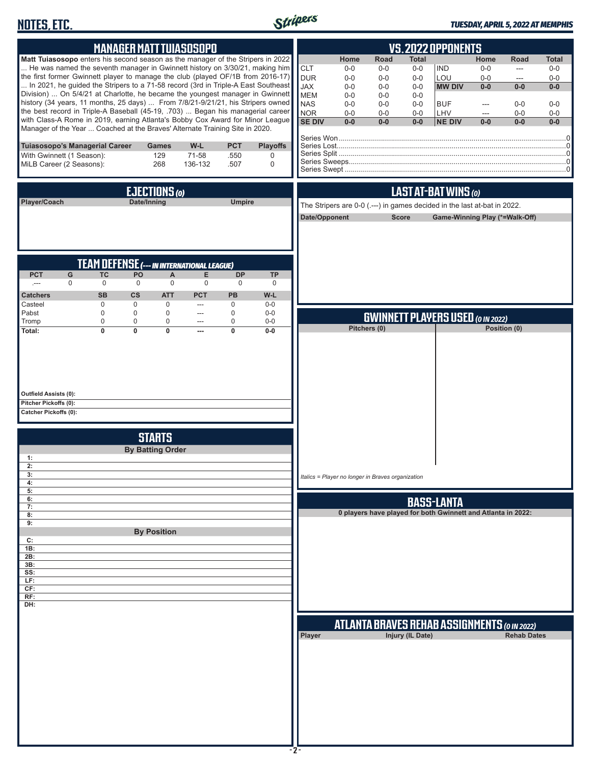# **NOTES, ETC.**



#### *TUESDAY, APRIL 5, 2022 AT MEMPHIS*

|                                                                                                                                                                                                                                                                                                                                                                                                                                                                                                                                                                                                                                                                                                                                                                |                                               | <b>MANAGER MATT TUIASOSOPO</b>                                                                                                                      |                                        |                                                      |                                     | VS.2022 OPPONENTS                                                                                 |                                                                             |                                                                       |                                                                             |                                                                                   |                                                        |                                                                   |                                                                    |
|----------------------------------------------------------------------------------------------------------------------------------------------------------------------------------------------------------------------------------------------------------------------------------------------------------------------------------------------------------------------------------------------------------------------------------------------------------------------------------------------------------------------------------------------------------------------------------------------------------------------------------------------------------------------------------------------------------------------------------------------------------------|-----------------------------------------------|-----------------------------------------------------------------------------------------------------------------------------------------------------|----------------------------------------|------------------------------------------------------|-------------------------------------|---------------------------------------------------------------------------------------------------|-----------------------------------------------------------------------------|-----------------------------------------------------------------------|-----------------------------------------------------------------------------|-----------------------------------------------------------------------------------|--------------------------------------------------------|-------------------------------------------------------------------|--------------------------------------------------------------------|
| Matt Tuiasosopo enters his second season as the manager of the Stripers in 2022<br>He was named the seventh manager in Gwinnett history on 3/30/21, making him<br>the first former Gwinnett player to manage the club (played OF/1B from 2016-17)<br>In 2021, he guided the Stripers to a 71-58 record (3rd in Triple-A East Southeast<br>Division)  On 5/4/21 at Charlotte, he became the youngest manager in Gwinnett<br>history (34 years, 11 months, 25 days)  From 7/8/21-9/21/21, his Stripers owned<br>the best record in Triple-A Baseball (45-19, .703)  Began his managerial career<br>with Class-A Rome in 2019, earning Atlanta's Bobby Cox Award for Minor League<br>Manager of the Year  Coached at the Braves' Alternate Training Site in 2020. |                                               |                                                                                                                                                     |                                        |                                                      |                                     | <b>CLT</b><br><b>DUR</b><br><b>JAX</b><br><b>MEM</b><br><b>NAS</b><br><b>NOR</b><br><b>SE DIV</b> | Home<br>$0-0$<br>$0-0$<br>$0 - 0$<br>$0 - 0$<br>$0 - 0$<br>$0 - 0$<br>$0-0$ | Road<br>$0-0$<br>$0-0$<br>$0 - 0$<br>$0-0$<br>$0-0$<br>$0-0$<br>$0-0$ | <b>Total</b><br>$0-0$<br>$0-0$<br>$0-0$<br>$0-0$<br>$0-0$<br>$0-0$<br>$0-0$ | <b>IND</b><br>LOU<br><b>MW DIV</b><br><b>BUF</b><br>LHV<br><b>NE DIV</b>          | Home<br>$0-0$<br>$0-0$<br>$0-0$<br>---<br>---<br>$0-0$ | Road<br>$\overline{a}$<br>---<br>$0-0$<br>$0-0$<br>$0-0$<br>$0-0$ | <b>Total</b><br>$0-0$<br>$0-0$<br>$0-0$<br>$0-0$<br>$0-0$<br>$0-0$ |
| Tuiasosopo's Managerial Career<br>With Gwinnett (1 Season):<br>MiLB Career (2 Seasons):                                                                                                                                                                                                                                                                                                                                                                                                                                                                                                                                                                                                                                                                        |                                               | <b>Games</b><br>129<br>268                                                                                                                          | W-L<br>71-58<br>136-132                | <b>PCT</b><br>.550<br>.507                           | <b>Playoffs</b><br>0<br>$\mathbf 0$ |                                                                                                   |                                                                             |                                                                       |                                                                             |                                                                                   |                                                        |                                                                   |                                                                    |
| Player/Coach                                                                                                                                                                                                                                                                                                                                                                                                                                                                                                                                                                                                                                                                                                                                                   |                                               | EJECTIONS (O)<br>Date/Inning                                                                                                                        |                                        | <b>Umpire</b>                                        |                                     | Date/Opponent                                                                                     | The Stripers are 0-0 (.---) in games decided in the last at-bat in 2022.    | <b>Score</b>                                                          |                                                                             | LAST AT-BAT WINS (0)                                                              |                                                        | Game-Winning Play (*=Walk-Off)                                    |                                                                    |
| <b>PCT</b><br>G<br>$\mathbf 0$<br>$\sim$<br><b>Catchers</b><br>Casteel                                                                                                                                                                                                                                                                                                                                                                                                                                                                                                                                                                                                                                                                                         | TC<br>$\mathbf 0$<br><b>SB</b><br>$\mathbf 0$ | <b>TEAM DEFENSE (--- IN INTERNATIONAL LEAGUE)</b><br>PO<br>A<br>$\mathbf 0$<br>$\mathbf 0$<br><b>CS</b><br><b>ATT</b><br>$\mathbf 0$<br>$\mathbf 0$ | Е<br>$\mathbf 0$<br><b>PCT</b><br>---  | <b>DP</b><br>$\mathbf 0$<br><b>PB</b><br>$\mathbf 0$ | <b>TP</b><br>0<br>W-L<br>$0-0$      |                                                                                                   |                                                                             |                                                                       |                                                                             |                                                                                   |                                                        |                                                                   |                                                                    |
| Pabst<br>Tromp<br>Total:                                                                                                                                                                                                                                                                                                                                                                                                                                                                                                                                                                                                                                                                                                                                       | $\mathbf 0$<br>$\mathbf 0$<br>$\overline{0}$  | $\mathbf 0$<br>$\mathbf 0$<br>$\mathbf 0$<br>0<br>$\mathbf 0$<br>0                                                                                  | ---<br>$\hspace{0.05cm} \ldots$<br>--- | 0<br>$\mathbf 0$<br>$\overline{0}$                   | $0-0$<br>$0-0$<br>$0-0$             |                                                                                                   |                                                                             | Pitchers (0)                                                          |                                                                             | <b>GWINNETT PLAYERS USED (O IN 2022)</b>                                          |                                                        | Position (0)                                                      |                                                                    |
| Outfield Assists (0):<br>Pitcher Pickoffs (0):<br><b>Catcher Pickoffs (0):</b>                                                                                                                                                                                                                                                                                                                                                                                                                                                                                                                                                                                                                                                                                 |                                               |                                                                                                                                                     |                                        |                                                      |                                     |                                                                                                   |                                                                             |                                                                       |                                                                             |                                                                                   |                                                        |                                                                   |                                                                    |
| 1:<br>2:<br>3:                                                                                                                                                                                                                                                                                                                                                                                                                                                                                                                                                                                                                                                                                                                                                 |                                               | <b>STARTS</b><br><b>By Batting Order</b>                                                                                                            |                                        |                                                      |                                     |                                                                                                   | Italics = Player no longer in Braves organization                           |                                                                       |                                                                             |                                                                                   |                                                        |                                                                   |                                                                    |
| 4:<br>5:<br>6:<br>7:<br>8:<br>9:                                                                                                                                                                                                                                                                                                                                                                                                                                                                                                                                                                                                                                                                                                                               |                                               |                                                                                                                                                     |                                        |                                                      |                                     |                                                                                                   |                                                                             |                                                                       |                                                                             | <b>BASS-LANTA</b><br>0 players have played for both Gwinnett and Atlanta in 2022: |                                                        |                                                                   |                                                                    |
| c:<br>1B:<br>2B:<br>3B:<br>SS:<br>LF:<br>CF:<br>RF:<br>DH:                                                                                                                                                                                                                                                                                                                                                                                                                                                                                                                                                                                                                                                                                                     |                                               | <b>By Position</b>                                                                                                                                  |                                        |                                                      |                                     |                                                                                                   |                                                                             |                                                                       |                                                                             |                                                                                   |                                                        |                                                                   |                                                                    |
|                                                                                                                                                                                                                                                                                                                                                                                                                                                                                                                                                                                                                                                                                                                                                                |                                               |                                                                                                                                                     |                                        |                                                      |                                     | Player                                                                                            |                                                                             |                                                                       | <b>Injury (IL Date)</b>                                                     | <b>ATLANTA BRAVES REHAB ASSIGNMENTS (O IN 2022)</b>                               |                                                        | <b>Rehab Dates</b>                                                |                                                                    |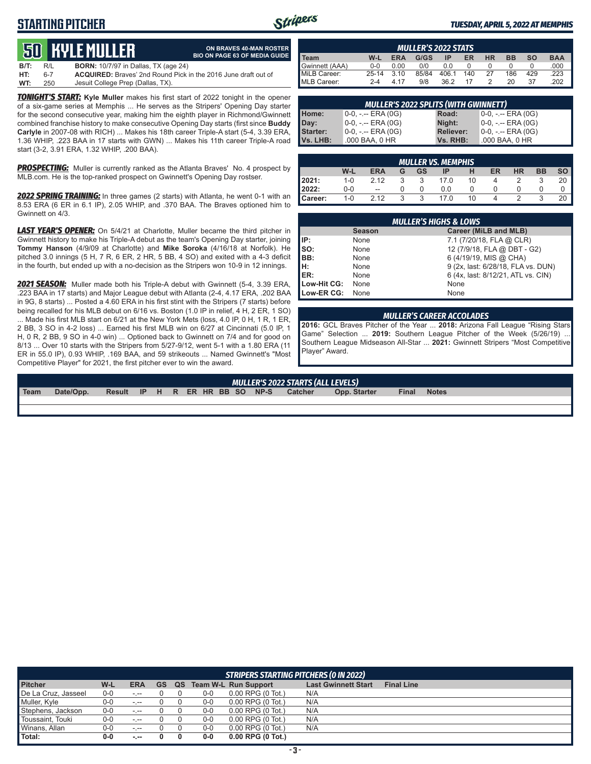## **STARTING PITCHER**



**ON BRAVES 40-MAN ROSTER BIO ON PAGE 63 OF MEDIA GUIDE**

#### *TUESDAY, APRIL 5, 2022 AT MEMPHIS*

# **50****KYLE Muller**

| B/T: | R/L | <b>BORN:</b> 10/7/97 in Dallas, TX (age 24)                           |
|------|-----|-----------------------------------------------------------------------|
| HT:  | հ-7 | <b>ACQUIRED:</b> Brayes' 2nd Round Pick in the 2016 June draft out of |
| WT:  | 250 | Jesuit College Prep (Dallas, TX).                                     |

*TONIGHT'S START:* **Kyle Muller** makes his first start of 2022 tonight in the opener of a six-game series at Memphis ... He serves as the Stripers' Opening Day starter for the second consecutive year, making him the eighth player in Richmond/Gwinnett combined franchise history to make consecutive Opening Day starts (first since **Buddy Carlyle** in 2007-08 with RICH) ... Makes his 18th career Triple-A start (5-4, 3.39 ERA, 1.36 WHIP, .223 BAA in 17 starts with GWN) ... Makes his 11th career Triple-A road start (3-2, 3.91 ERA, 1.32 WHIP, .200 BAA).

**PROSPECTING:** Muller is currently ranked as the Atlanta Braves' No. 4 prospect by MLB.com. He is the top-ranked prospect on Gwinnett's Opening Day rostser.

*2022 SPRING TRAINING:* In three games (2 starts) with Atlanta, he went 0-1 with an 8.53 ERA (6 ER in 6.1 IP), 2.05 WHIP, and .370 BAA. The Braves optioned him to Gwinnett on 4/3.

*LAST YEAR'S OPENER:* On 5/4/21 at Charlotte, Muller became the third pitcher in Gwinnett history to make his Triple-A debut as the team's Opening Day starter, joining **Tommy Hanson** (4/9/09 at Charlotte) and **Mike Soroka** (4/16/18 at Norfolk). He pitched 3.0 innings (5 H, 7 R, 6 ER, 2 HR, 5 BB, 4 SO) and exited with a 4-3 deficit in the fourth, but ended up with a no-decision as the Stripers won 10-9 in 12 innings.

*2021 SEASON:* Muller made both his Triple-A debut with Gwinnett (5-4, 3.39 ERA, .223 BAA in 17 starts) and Major League debut with Atlanta (2-4, 4.17 ERA, .202 BAA in 9G, 8 starts) ... Posted a 4.60 ERA in his first stint with the Stripers (7 starts) before being recalled for his MLB debut on 6/16 vs. Boston (1.0 IP in relief, 4 H, 2 ER, 1 SO) ... Made his first MLB start on 6/21 at the New York Mets (loss, 4.0 IP, 0 H, 1 R, 1 ER, 2 BB, 3 SO in 4-2 loss) ... Earned his first MLB win on 6/27 at Cincinnati (5.0 IP, 1 H, 0 R, 2 BB, 9 SO in 4-0 win) ... Optioned back to Gwinnett on 7/4 and for good on 8/13 ... Over 10 starts with the Stripers from 5/27-9/12, went 5-1 with a 1.80 ERA (11 ER in 55.0 IP), 0.93 WHIP, .169 BAA, and 59 strikeouts ... Named Gwinnett's "Most Competitive Player" for 2021, the first pitcher ever to win the award.

| <b>MULLER'S 2022 STATS</b> |           |            |       |       |     |           |           |           |            |  |  |
|----------------------------|-----------|------------|-------|-------|-----|-----------|-----------|-----------|------------|--|--|
| <b>Team</b>                | W-L       | <b>ERA</b> | G/GS  | ΙP    | ER  | <b>HR</b> | <b>BB</b> | <b>SO</b> | <b>BAA</b> |  |  |
| Gwinnett (AAA)             | $0 - 0$   | 0.00       | 0/0   | 0.0   |     |           |           |           | .000       |  |  |
| MiLB Career:               | $25 - 14$ | 3.10       | 85/84 | 406.1 | 140 | 27        | 186       | 429       | .223       |  |  |
| MLB Career:                | $2 - 4$   | 4 17       | 9/8   | 36.2  | 17  |           | 20        | 37        | 202        |  |  |

| <b>MULLER'S 2022 SPLITS (WITH GWINNETT)</b> |                       |                  |                       |  |  |  |  |  |  |
|---------------------------------------------|-----------------------|------------------|-----------------------|--|--|--|--|--|--|
| Home:<br>Day:                               | $0-0, - -$ ERA (0G)   | Road:            | 0-0, -.-- ERA (0G)    |  |  |  |  |  |  |
|                                             | $0-0, - -$ ERA (0G)   | Night:           | 0-0, -.-- ERA (0G)    |  |  |  |  |  |  |
| Starter:                                    | $0-0, - -$ ERA $(0G)$ | <b>Reliever:</b> | $0-0, - -$ ERA $(0G)$ |  |  |  |  |  |  |
| Vs. LHB:                                    | .000 BAA, 0 HR        | Vs. RHB:         | .000 BAA, 0 HR        |  |  |  |  |  |  |

| <b>MULLER VS. MEMPHIS</b> |         |            |    |           |      |    |          |           |           |                 |
|---------------------------|---------|------------|----|-----------|------|----|----------|-----------|-----------|-----------------|
|                           | W-L     | <b>ERA</b> | G  | <b>GS</b> | IP   | н  | ER       | <b>HR</b> | <b>BB</b> | SO <sub>1</sub> |
| 2021:                     | $1 - 0$ | 2.12       |    | 3         | 17.0 | 10 | $\Delta$ |           |           | 20              |
| 2022:                     | $0-0$   | --         |    |           | 0.0  |    |          |           |           |                 |
| Career:                   | $1 - 0$ | 2.12       | ્ર | 3         | 17.0 | 10 |          |           |           | 20              |

| <b>MULLER'S HIGHS &amp; LOWS</b> |               |                                    |  |  |  |  |  |
|----------------------------------|---------------|------------------------------------|--|--|--|--|--|
|                                  | <b>Season</b> | Career (MiLB and MLB)              |  |  |  |  |  |
| IIP:                             | None          | 7.1 (7/20/18, FLA @ CLR)           |  |  |  |  |  |
| Iso:                             | None          | 12 (7/9/18, FLA @ DBT - G2)        |  |  |  |  |  |
| BB:                              | None          | 6 (4/19/19, MIS @ CHA)             |  |  |  |  |  |
| Iн:                              | None          | 9 (2x, last: 6/28/18, FLA vs. DUN) |  |  |  |  |  |
| ER:                              | None          | 6 (4x, last: 8/12/21, ATL vs. CIN) |  |  |  |  |  |
| Low-Hit CG:                      | None          | None                               |  |  |  |  |  |
| Low-ER CG:                       | None          | None                               |  |  |  |  |  |

#### *MULLER'S CAREER ACCOLADES*

**2016:** GCL Braves Pitcher of the Year ... **2018:** Arizona Fall League "Rising Stars Game" Selection ... **2019:** Southern League Pitcher of the Week (5/26/19) ... Southern League Midseason All-Star ... **2021:** Gwinnett Stripers "Most Competitive Player" Award.

# *MULLER'S 2022 STARTS (ALL LEVELS)*

**Team Date/Opp. Result IP H R ER HR BB SO NP-S Catcher Opp. Starter Final Notes**

| <b>STRIPERS STARTING PITCHERS (0 IN 2022)</b> |       |                 |           |    |       |                               |                            |                   |  |
|-----------------------------------------------|-------|-----------------|-----------|----|-------|-------------------------------|----------------------------|-------------------|--|
| <b>Pitcher</b>                                | W-L   | <b>ERA</b>      | <b>GS</b> | QS |       | <b>Team W-L Run Support</b>   | <b>Last Gwinnett Start</b> | <b>Final Line</b> |  |
| De La Cruz, Jasseel                           | $0-0$ | $\sim$ , $\sim$ |           |    | $0-0$ | $0.00$ RPG $(0 \text{ Tot.})$ | N/A                        |                   |  |
| Muller, Kyle                                  | 0-0   | $-1 - 1$        |           |    | $0-0$ | $0.00$ RPG $(0 \text{ Tot.})$ | N/A                        |                   |  |
| Stephens, Jackson                             | 0-0   | -.--            |           |    | $0-0$ | $0.00$ RPG $(0 \text{ Tot.})$ | N/A                        |                   |  |
| Toussaint, Touki                              | $0-0$ | -.--            |           |    | $0-0$ | $0.00$ RPG $(0 \text{ Tot.})$ | N/A                        |                   |  |
| Winans, Allan                                 | 0-0   | $-1 - 1$        |           |    | $0-0$ | $0.00$ RPG $(0 \text{ Tot.})$ | N/A                        |                   |  |
| Total:                                        | 0-0   | $-1$            |           | 0  | $0-0$ | $0.00$ RPG (0 Tot.)           |                            |                   |  |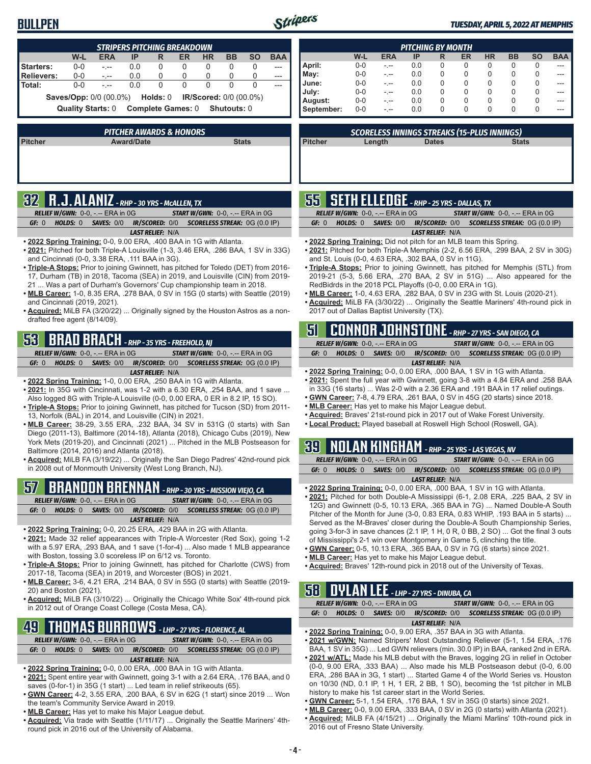## **BULLPEN**



#### *TUESDAY, APRIL 5, 2022 AT MEMPHIS*

| <b>STRIPERS PITCHING BREAKDOWN</b>                                   |         |            |     |   |    |           |           |           |            |
|----------------------------------------------------------------------|---------|------------|-----|---|----|-----------|-----------|-----------|------------|
|                                                                      | W-L     | <b>ERA</b> | IP  | R | ER | <b>HR</b> | <b>BB</b> | <b>SO</b> | <b>BAA</b> |
| Starters:                                                            | $0 - 0$ | $-1$       | 0.0 | 0 | 0  | 0         | 0         |           |            |
| Relievers:                                                           | $0 - 0$ | $-1 - 1$   | 0.0 | 0 | 0  | 0         | 0         |           |            |
| l Total:                                                             | $0 - 0$ | $ -$       | 0.0 | 0 | 0  | 0         | 0         |           |            |
| <b>Saves/Opp:</b> 0/0 (00.0%) <b>Holds: 0 IR/Scored: 0/0 (00.0%)</b> |         |            |     |   |    |           |           |           |            |
| Complete Games: 0 Shutouts: 0<br><b>Quality Starts: 0</b>            |         |            |     |   |    |           |           |           |            |
|                                                                      |         |            |     |   |    |           |           |           |            |

| PITCHER AWARDS & HONORS'                     |  |  |  |  |  |  |  |
|----------------------------------------------|--|--|--|--|--|--|--|
| <b>Stats</b><br>Pitcher<br><b>Award/Date</b> |  |  |  |  |  |  |  |
|                                              |  |  |  |  |  |  |  |
|                                              |  |  |  |  |  |  |  |
|                                              |  |  |  |  |  |  |  |
|                                              |  |  |  |  |  |  |  |

# **32 R.J. ALANIZ** *- RHP - 30 YRS - McALLEN, TX*

| <b>RELIEF W/GWN: 0-0, -.-- ERA in 0G</b> |                         | <b>START W/GWN: 0-0, -.-- ERA in 0G</b>                          |
|------------------------------------------|-------------------------|------------------------------------------------------------------|
| GF: 0                                    |                         | HOLDS: 0 SAVES: 0/0 IR/SCORED: 0/0 SCORELESS STREAK: 0G (0.0 IP) |
|                                          | <b>LAST RELIEF: N/A</b> |                                                                  |

- **• 2022 Spring Training:** 0-0, 9.00 ERA, .400 BAA in 1G with Atlanta.
- **• 2021:** Pitched for both Triple-A Louisville (1-3, 3.46 ERA, .286 BAA, 1 SV in 33G) and Cincinnati (0-0, 3.38 ERA, .111 BAA in 3G).
- **• Triple-A Stops:** Prior to joining Gwinnett, has pitched for Toledo (DET) from 2016- 17, Durham (TB) in 2018, Tacoma (SEA) in 2019, and Louisville (CIN) from 2019- 21 ... Was a part of Durham's Governors' Cup championship team in 2018.
- **• MLB Career:** 1-0, 8.35 ERA, .278 BAA, 0 SV in 15G (0 starts) with Seattle (2019) and Cincinnati (2019, 2021).
- **• Acquired:** MiLB FA (3/20/22) ... Originally signed by the Houston Astros as a nondrafted free agent (8/14/09).

# **53 BRAD BRACH** *- RHP - 35 YRS - FREEHOLD, NJ*

*RELIEF W/GWN:*0-0, -.-- ERA in 0G *START W/GWN:*0-0, -.-- ERA in 0G *GF:*0 *HOLDS:*0 *SAVES:*0/0 *IR/SCORED:*0/0 *SCORELESS STREAK:*0G (0.0 IP)

#### *LAST RELIEF:*N/A

- **• 2022 Spring Training:** 1-0, 0.00 ERA, .250 BAA in 1G with Atlanta.
- **• 2021:** In 35G with Cincinnati, was 1-2 with a 6.30 ERA, .254 BAA, and 1 save ... Also logged 8G with Triple-A Louisville (0-0, 0.00 ERA, 0 ER in 8.2 IP, 15 SO).
- **• Triple-A Stops:** Prior to joining Gwinnett, has pitched for Tucson (SD) from 2011- 13, Norfolk (BAL) in 2014, and Louisville (CIN) in 2021.
- **• MLB Career:** 38-29, 3.55 ERA, .232 BAA, 34 SV in 531G (0 starts) with San Diego (2011-13), Baltimore (2014-18), Atlanta (2018), Chicago Cubs (2019), New York Mets (2019-20), and Cincinnati (2021) ... Pitched in the MLB Postseason for Baltimore (2014, 2016) and Atlanta (2018).
- **• Acquired:** MiLB FA (3/19/22) ... Originally the San Diego Padres' 42nd-round pick in 2008 out of Monmouth University (West Long Branch, NJ).

## **57 BRANDON BRENNAN** *- RHP - 30 YRS - MISSION VIEJO, CA*

*RELIEF W/GWN:*0-0, -.-- ERA in 0G *START W/GWN:*0-0, -.-- ERA in 0G *GF:*0 *HOLDS:*0 *SAVES:*0/0 *IR/SCORED:*0/0 *SCORELESS STREAK:*0G (0.0 IP) *LAST RELIEF:*N/A

- **• 2022 Spring Training:** 0-0, 20.25 ERA, .429 BAA in 2G with Atlanta.
- **• 2021:** Made 32 relief appearances with Triple-A Worcester (Red Sox), going 1-2 with a 5.97 ERA, .293 BAA, and 1 save (1-for-4) ... Also made 1 MLB appearance with Boston, tossing 3.0 scoreless IP on 6/12 vs. Toronto.
- **• Triple-A Stops:** Prior to joining Gwinnett, has pitched for Charlotte (CWS) from 2017-18, Tacoma (SEA) in 2019, and Worcester (BOS) in 2021.
- **• MLB Career:** 3-6, 4.21 ERA, .214 BAA, 0 SV in 55G (0 starts) with Seattle (2019- 20) and Boston (2021).
- **• Acquired:** MiLB FA (3/10/22) ... Originally the Chicago White Sox' 4th-round pick in 2012 out of Orange Coast College (Costa Mesa, CA).

## **49 THOMAS BURROWS** *- LHP - 27 YRS - FLORENCE, AL*

*RELIEF W/GWN:*0-0, -.-- ERA in 0G *START W/GWN:*0-0, -.-- ERA in 0G *GF:*0 *HOLDS:*0 *SAVES:*0/0 *IR/SCORED:*0/0 *SCORELESS STREAK:*0G (0.0 IP) *LAST RELIEF:*N/A

- **• 2022 Spring Training:** 0-0, 0.00 ERA, .000 BAA in 1G with Atlanta.
- **• 2021:** Spent entire year with Gwinnett, going 3-1 with a 2.64 ERA, .176 BAA, and 0 saves (0-for-1) in 35G (1 start) ... Led team in relief strikeouts (65).
- **• GWN Career:** 4-2, 3.55 ERA, .200 BAA, 6 SV in 62G (1 start) since 2019 ... Won the team's Community Service Award in 2019.
- **• MLB Career:** Has yet to make his Major League debut.
- **• Acquired:** Via trade with Seattle (1/11/17) ... Originally the Seattle Mariners' 4thround pick in 2016 out of the University of Alabama.

| <b>PITCHING BY MONTH</b> |         |            |     |   |    |           |           |           |            |
|--------------------------|---------|------------|-----|---|----|-----------|-----------|-----------|------------|
|                          | W-L     | <b>ERA</b> | IP  | R | ER | <b>HR</b> | <b>BB</b> | <b>SO</b> | <b>BAA</b> |
| April:                   | $0-0$   | - --       | 0.0 | 0 | 0  | 0         | 0         | 0         |            |
| May:                     | $0 - 0$ |            | 0.0 | 0 | O  | 0         | 0         | $\Omega$  |            |
| June:                    | $0 - 0$ |            | 0.0 | 0 | O  | 0         | 0         | 0         |            |
| July:                    | $0 - 0$ |            | 0.0 | 0 | 0  | 0         | 0         | 0         |            |
| August:                  | $0 - 0$ |            | 0.0 | 0 | 0  | 0         | 0         | $\Omega$  |            |
| September:               | $0 - 0$ | - --       | 0.0 | 0 | 0  | 0         | 0         | 0         | ---        |

*SCORELESS INNINGS STREAKS (15-PLUS INNINGS)*

**Pitcher Length Dates Stats**

# **55 SETH ELLEDGE** *- RHP - 25 YRS - DALLAS, TX*

|       | <b>RELIEF W/GWN:</b> $0-0.$ -.-- ERA in $0G$ |                         | <b>START W/GWN:</b> $0-0$ , $\overline{-}$ ERA in $0\overline{G}$                            |
|-------|----------------------------------------------|-------------------------|----------------------------------------------------------------------------------------------|
| GE: 0 |                                              |                         | <b>HOLDS:</b> 0 <b>SAVES:</b> 0/0 <b>IR/SCORED:</b> 0/0 <b>SCORELESS STREAK:</b> 0G (0.0 IP) |
|       |                                              | <b>LAST RELIEF: N/A</b> |                                                                                              |
|       |                                              |                         |                                                                                              |

- **• 2022 Spring Training:** Did not pitch for an MLB team this Spring.
- **• 2021:** Pitched for both Triple-A Memphis (2-2, 6.56 ERA, .299 BAA, 2 SV in 30G) and St. Louis (0-0, 4.63 ERA, .302 BAA, 0 SV in 11G).
- **• Triple-A Stops:** Prior to joining Gwinnett, has pitched for Memphis (STL) from 2019-21 (5-3, 5.66 ERA, .270 BAA, 2 SV in 51G) ... Also appeared for the RedBidrds in the 2018 PCL Playoffs (0-0, 0.00 ERA in 1G).
- **• MLB Career:** 1-0, 4.63 ERA, .282 BAA, 0 SV in 23G with St. Louis (2020-21).
- **• Acquired:** MiLB FA (3/30/22) ... Originally the Seattle Mariners' 4th-round pick in 2017 out of Dallas Baptist University (TX).

|       |                                                                    |                         | 5 CONNOR JOHNSTONE - RHP - 27 YRS - SAN DIEGO, CA                       |
|-------|--------------------------------------------------------------------|-------------------------|-------------------------------------------------------------------------|
|       | <b>RELIEF W/GWN: <math>0-0.</math> -.-- ERA in <math>0G</math></b> |                         | <b>START W/GWN: <math>0-0</math>.</b> -.-- ERA in $0G$                  |
| GF: 0 |                                                                    |                         | <b>HOLDS: 0 SAVES: 0/0 IR/SCORED: 0/0 SCORELESS STREAK: 0G (0.0 IP)</b> |
|       |                                                                    | <b>LAST RELIEF: N/A</b> |                                                                         |

- **• 2022 Spring Training:** 0-0, 0.00 ERA, .000 BAA, 1 SV in 1G with Atlanta.
- **• 2021:** Spent the full year with Gwinnett, going 3-8 with a 4.84 ERA and .258 BAA in 33G (16 starts) ... Was 2-0 with a 2.36 ERA and .191 BAA in 17 relief outings.
- **• GWN Career:** 7-8, 4.79 ERA, .261 BAA, 0 SV in 45G (20 starts) since 2018.
- **• MLB Career:** Has yet to make his Major League debut.
- **• Acquired:** Braves' 21st-round pick in 2017 out of Wake Forest University.
- **• Local Product:** Played baseball at Roswell High School (Roswell, GA).

## **39 NOLAN KINGHAM** *- RHP - 25 YRS - LAS VEGAS, NV*

|       | <b>RELIEF W/GWN: 0-0, -.-- ERA in 0G</b> |                         | <b>START W/GWN: 0-0, -.-- ERA in 0G</b>                                 |
|-------|------------------------------------------|-------------------------|-------------------------------------------------------------------------|
| GF: 0 |                                          |                         | <b>HOLDS: 0 SAVES: 0/0 IR/SCORED: 0/0 SCORELESS STREAK: 0G (0.0 IP)</b> |
|       |                                          | <b>LAST RELIEF: N/A</b> |                                                                         |

- **• 2022 Spring Training:** 0-0, 0.00 ERA, .000 BAA, 1 SV in 1G with Atlanta.
- **• 2021:** Pitched for both Double-A Mississippi (6-1, 2.08 ERA, .225 BAA, 2 SV in 12G) and Gwinnett (0-5, 10.13 ERA, .365 BAA in 7G) ... Named Double-A South Pitcher of the Month for June (3-0, 0.83 ERA, 0.83 WHIP, .193 BAA in 5 starts) ... Served as the M-Braves' closer during the Double-A South Championship Series, going 3-for-3 in save chances (2.1 IP, 1 H, 0 R, 0 BB, 2 SO) ... Got the final 3 outs of Mississippi's 2-1 win over Montgomery in Game 5, clinching the title.
- **• GWN Career:** 0-5, 10.13 ERA, .365 BAA, 0 SV in 7G (6 starts) since 2021.
- **• MLB Career:** Has yet to make his Major League debut.
- **• Acquired:** Braves' 12th-round pick in 2018 out of the University of Texas.

### **58 DYLAN LEE** *- LHP - 27 YRS - DINUBA, CA*

| <b>RELIEF W/GWN: 0-0, -.-- ERA in 0G.</b> |  |  |                         |  | <b>START W/GWN: 0-0, -.-- ERA in 0G</b>                          |
|-------------------------------------------|--|--|-------------------------|--|------------------------------------------------------------------|
| GE: 0                                     |  |  |                         |  | HOLDS: 0 SAVES: 0/0 IR/SCORED: 0/0 SCORELESS STREAK: 0G (0.0 IP) |
|                                           |  |  | <b>LAST RELIEF: N/A</b> |  |                                                                  |

- **• 2022 Spring Training:** 0-0, 9.00 ERA, .357 BAA in 3G with Atlanta.
- **• 2021 w/GWN:** Named Stripers' Most Outstanding Reliever (5-1, 1.54 ERA, .176 BAA, 1 SV in 35G) ... Led GWN relievers (min. 30.0 IP) in BAA, ranked 2nd in ERA.
- **• 2021 w/ATL:** Made his MLB debut with the Braves, logging 2G in relief in October (0-0, 9.00 ERA, .333 BAA) ... Also made his MLB Postseason debut (0-0, 6.00 ERA, .286 BAA in 3G, 1 start) ... Started Game 4 of the World Series vs. Houston on 10/30 (ND, 0.1 IP, 1 H, 1 ER, 2 BB, 1 SO), becoming the 1st pitcher in MLB history to make his 1st career start in the World Series.
- **• GWN Career:** 5-1, 1.54 ERA, .176 BAA, 1 SV in 35G (0 starts) since 2021.
- **• MLB Career:** 0-0, 9.00 ERA, .333 BAA, 0 SV in 2G (0 starts) with Atlanta (2021).
- **• Acquired:** MiLB FA (4/15/21) ... Originally the Miami Marlins' 10th-round pick in 2016 out of Fresno State University.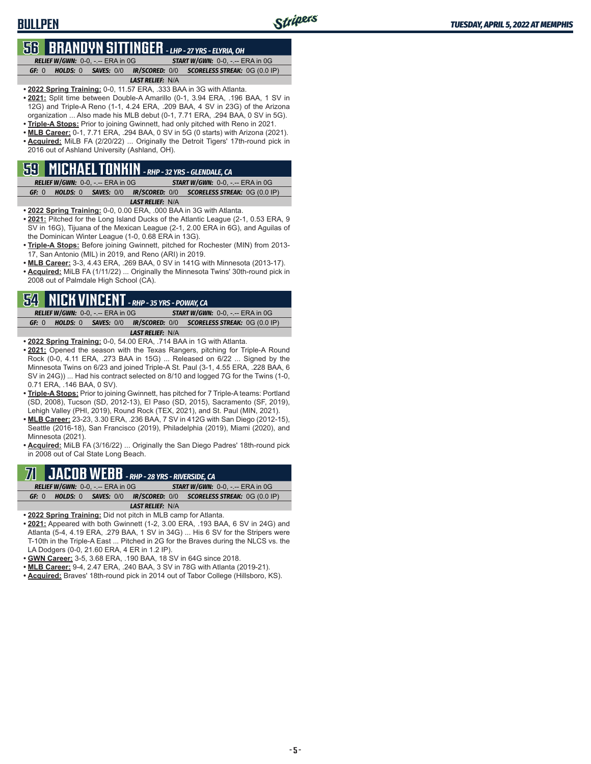# **56 BRANDYN SITTINGER** *- LHP - 27 YRS - ELYRIA, OH*

**BULLPEN**

*RELIEF W/GWN:*0-0, -.-- ERA in 0G *START W/GWN:*0-0, -.-- ERA in 0G *GF:*0 *HOLDS:*0 *SAVES:*0/0 *IR/SCORED:*0/0 *SCORELESS STREAK:*0G (0.0 IP)

#### *LAST RELIEF:*N/A

- **• 2022 Spring Training:** 0-0, 11.57 ERA, .333 BAA in 3G with Atlanta. **• 2021:** Split time between Double-A Amarillo (0-1, 3.94 ERA, .196 BAA, 1 SV in 12G) and Triple-A Reno (1-1, 4.24 ERA, .209 BAA, 4 SV in 23G) of the Arizona organization ... Also made his MLB debut (0-1, 7.71 ERA, .294 BAA, 0 SV in 5G).
- **• Triple-A Stops:** Prior to joining Gwinnett, had only pitched with Reno in 2021.
- **• MLB Career:** 0-1, 7.71 ERA, .294 BAA, 0 SV in 5G (0 starts) with Arizona (2021).
- **• Acquired:** MiLB FA (2/20/22) ... Originally the Detroit Tigers' 17th-round pick in 2016 out of Ashland University (Ashland, OH).

### **59 MICHAEL TONKIN** *- RHP - 32 YRS - GLENDALE, CA*

|       | <b>RELIEF W/GWN: 0-0, -.-- ERA in 0G/</b> |                         | <b>START W/GWN: 0-0, -.-- ERA in 0G</b>                                 |
|-------|-------------------------------------------|-------------------------|-------------------------------------------------------------------------|
| GF: 0 |                                           |                         | <b>HOLDS: 0 SAVES: 0/0 IR/SCORED: 0/0 SCORELESS STREAK: 0G (0.0 IP)</b> |
|       |                                           | <b>LAST RELIEF: N/A</b> |                                                                         |

- **• 2022 Spring Training:** 0-0, 0.00 ERA, .000 BAA in 3G with Atlanta.
- **• 2021:** Pitched for the Long Island Ducks of the Atlantic League (2-1, 0.53 ERA, 9 SV in 16G), Tijuana of the Mexican League (2-1, 2.00 ERA in 6G), and Aguilas of the Dominican Winter League (1-0, 0.68 ERA in 13G).
- **• Triple-A Stops:** Before joining Gwinnett, pitched for Rochester (MIN) from 2013- 17, San Antonio (MIL) in 2019, and Reno (ARI) in 2019.
- **• MLB Career:** 3-3, 4.43 ERA, .269 BAA, 0 SV in 141G with Minnesota (2013-17).
- **• Acquired:** MiLB FA (1/11/22) ... Originally the Minnesota Twins' 30th-round pick in 2008 out of Palmdale High School (CA).

## **54 NICK VINCENT** *- RHP - 35 YRS - POWAY, CA*

*RELIEF W/GWN:*0-0, -.-- ERA in 0G *START W/GWN:*0-0, -.-- ERA in 0G *GF:*0 *HOLDS:*0 *SAVES:*0/0 *IR/SCORED:*0/0 *SCORELESS STREAK:*0G (0.0 IP) *LAST RELIEF:*N/A

- **• 2022 Spring Training:** 0-0, 54.00 ERA, .714 BAA in 1G with Atlanta.
- **• 2021:** Opened the season with the Texas Rangers, pitching for Triple-A Round Rock (0-0, 4.11 ERA, .273 BAA in 15G) ... Released on 6/22 ... Signed by the Minnesota Twins on 6/23 and joined Triple-A St. Paul (3-1, 4.55 ERA, .228 BAA, 6 SV in 24G)) ... Had his contract selected on 8/10 and logged 7G for the Twins (1-0, 0.71 ERA, .146 BAA, 0 SV).
- **• Triple-A Stops:** Prior to joining Gwinnett, has pitched for 7 Triple-A teams: Portland (SD, 2008), Tucson (SD, 2012-13), El Paso (SD, 2015), Sacramento (SF, 2019), Lehigh Valley (PHI, 2019), Round Rock (TEX, 2021), and St. Paul (MIN, 2021).
- **• MLB Career:** 23-23, 3.30 ERA, .236 BAA, 7 SV in 412G with San Diego (2012-15), Seattle (2016-18), San Francisco (2019), Philadelphia (2019), Miami (2020), and Minnesota (2021).
- **• Acquired:** MiLB FA (3/16/22) ... Originally the San Diego Padres' 18th-round pick in 2008 out of Cal State Long Beach.

### $\mathbf{F}\mathbf{H}\mathbf{B}$  - RHP - 28 YRS - RIVERSIDE, CA *RELIEF W/GWN:*0-0, -.-- ERA in 0G *START W/GWN:*0-0, -.-- ERA in 0G

|  |  |                         | GF: $0$ HOLDS: $0$ SAVES: $0/0$ IR/SCORED: $0/0$ SCORELESS STREAK: $0$ G $(0.0 \text{ IP})$ |  |  |  |  |  |
|--|--|-------------------------|---------------------------------------------------------------------------------------------|--|--|--|--|--|
|  |  | <b>LAST RELIEF: N/A</b> |                                                                                             |  |  |  |  |  |
|  |  |                         |                                                                                             |  |  |  |  |  |

- **• 2022 Spring Training:** Did not pitch in MLB camp for Atlanta.
- **• 2021:** Appeared with both Gwinnett (1-2, 3.00 ERA, .193 BAA, 6 SV in 24G) and Atlanta (5-4, 4.19 ERA, .279 BAA, 1 SV in 34G) ... His 6 SV for the Stripers were T-10th in the Triple-A East ... Pitched in 2G for the Braves during the NLCS vs. the LA Dodgers (0-0, 21.60 ERA, 4 ER in 1.2 IP).
- **• GWN Career:** 3-5, 3.68 ERA, .190 BAA, 18 SV in 64G since 2018.
- **• MLB Career:** 9-4, 2.47 ERA, .240 BAA, 3 SV in 78G with Atlanta (2019-21).
- **• Acquired:** Braves' 18th-round pick in 2014 out of Tabor College (Hillsboro, KS).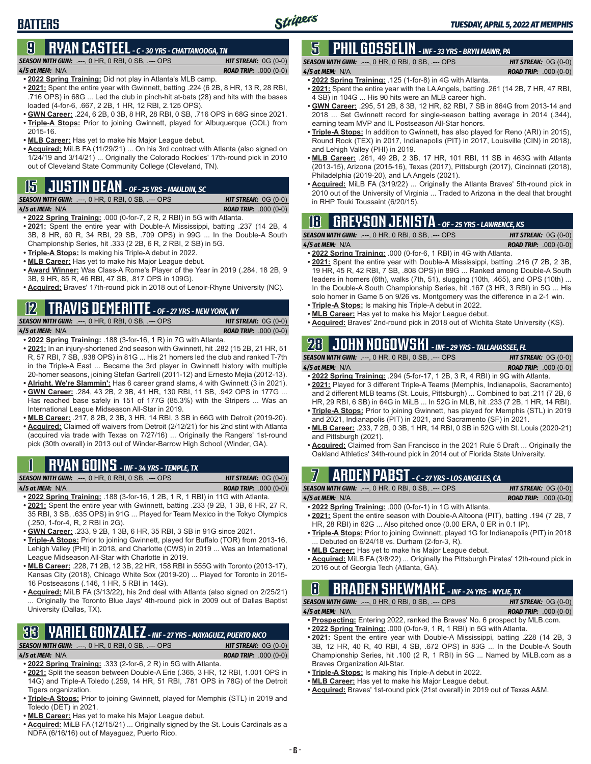*4/5 at MEM:*N/A *ROAD TRIP:* .000 (0-0)

## **BATTERS**

## **9 RYAN CASTEEL** *- C - 30 YRS - CHATTANOOGA, TN*

*SEASON WITH GWN:*.---, 0 HR, 0 RBI, 0 SB, .--- OPS *HIT STREAK:* 0G (0-0)

*4/5 at MEM:*N/A *ROAD TRIP:* .000 (0-0) **• 2022 Spring Training:** Did not play in Atlanta's MLB camp.

- **• 2021:** Spent the entire year with Gwinnett, batting .224 (6 2B, 8 HR, 13 R, 28 RBI, .716 OPS) in 68G ... Led the club in pinch-hit at-bats (28) and hits with the bases loaded (4-for-6, .667, 2 2B, 1 HR, 12 RBI, 2.125 OPS).
- **• GWN Career:** .224, 6 2B, 0 3B, 8 HR, 28 RBI, 0 SB, .716 OPS in 68G since 2021. **• Triple-A Stops:** Prior to joining Gwinnett, played for Albuquerque (COL) from 2015-16.
- **• MLB Career:** Has yet to make his Major League debut.
- **• Acquired:** MiLB FA (11/29/21) ... On his 3rd contract with Atlanta (also signed on 1/24/19 and 3/14/21) ... Originally the Colorado Rockies' 17th-round pick in 2010 out of Cleveland State Community College (Cleveland, TN).

# **15 JUSTIN DEAN** *- OF - 25 YRS - MAULDIN, SC*

*SEASON WITH GWN:*.---, 0 HR, 0 RBI, 0 SB, .--- OPS *HIT STREAK:* 0G (0-0)

```
4/5 at MEM: N/A ROAD TRIP: .000 (0-0)
```
- **• 2022 Spring Training:** .000 (0-for-7, 2 R, 2 RBI) in 5G with Atlanta. **• 2021:** Spent the entire year with Double-A Mississippi, batting .237 (14 2B, 4 3B, 8 HR, 60 R, 34 RBI, 29 SB, .709 OPS) in 99G ... In the Double-A South Championship Series, hit .333 (2 2B, 6 R, 2 RBI, 2 SB) in 5G.
- **• Triple-A Stops:** Is making his Triple-A debut in 2022.
- **• MLB Career:** Has yet to make his Major League debut.
- **• Award Winner:** Was Class-A Rome's Player of the Year in 2019 (.284, 18 2B, 9 3B, 9 HR, 85 R, 46 RBI, 47 SB, .817 OPS in 109G).
- **• Acquired:** Braves' 17th-round pick in 2018 out of Lenoir-Rhyne University (NC).

# **12 TRAVIS DEMERITTE** *- OF - 27 YRS - NEW YORK, NY*

*SEASON WITH GWN:*.---, 0 HR, 0 RBI, 0 SB, .--- OPS *HIT STREAK:* 0G (0-0) *4/5 at MEM:*N/A *ROAD TRIP:* .000 (0-0)

- **• 2022 Spring Training:** .188 (3-for-16, 1 R) in 7G with Atlanta.
- **• 2021:** In an injury-shortened 2nd season with Gwinnett, hit .282 (15 2B, 21 HR, 51 R, 57 RBI, 7 SB, .938 OPS) in 81G ... His 21 homers led the club and ranked T-7th in the Triple-A East ... Became the 3rd player in Gwinnett history with multiple 20-homer seasons, joining Stefan Gartrell (2011-12) and Ernesto Mejia (2012-13).
- **• Alright, We're Slammin':** Has 6 career grand slams, 4 with Gwinnett (3 in 2021). **• GWN Career:** .284, 43 2B, 2 3B, 41 HR, 130 RBI, 11 SB, .942 OPS in 177G ... Has reached base safely in 151 of 177G (85.3%) with the Stripers ... Was an International League Midseason All-Star in 2019.
- **• MLB Career:** .217, 8 2B, 2 3B, 3 HR, 14 RBI, 3 SB in 66G with Detroit (2019-20).
- **• Acquired:** Claimed off waivers from Detroit (2/12/21) for his 2nd stint with Atlanta (acquired via trade with Texas on 7/27/16) ... Originally the Rangers' 1st-round pick (30th overall) in 2013 out of Winder-Barrow High School (Winder, GA).

## **1 RYAN GOINS** *- INF - 34 YRS - TEMPLE, TX*

| <b>SEASON WITH GWN:</b> .---, 0 HR, 0 RBI, 0 SB, .--- OPS . |  |  | <b>HIT STREAK:</b> $OG(0-0)$  |  |
|-------------------------------------------------------------|--|--|-------------------------------|--|
| 4/5 at MEM: N/A                                             |  |  | <b>ROAD TRIP:</b> $.000(0-0)$ |  |
|                                                             |  |  |                               |  |

- **• 2022 Spring Training:** .188 (3-for-16, 1 2B, 1 R, 1 RBI) in 11G with Atlanta. **• 2021:** Spent the entire year with Gwinnett, batting .233 (9 2B, 1 3B, 6 HR, 27 R,
- 35 RBI, 3 SB, .635 OPS) in 91G ... Played for Team Mexico in the Tokyo Olympics (.250, 1-for-4, R, 2 RBI in 2G).
- **• GWN Career:** .233, 9 2B, 1 3B, 6 HR, 35 RBI, 3 SB in 91G since 2021.
- **• Triple-A Stops:** Prior to joining Gwinnett, played for Buffalo (TOR) from 2013-16, Lehigh Valley (PHI) in 2018, and Charlotte (CWS) in 2019 ... Was an International League Midseason All-Star with Charlotte in 2019.
- **• MLB Career:** .228, 71 2B, 12 3B, 22 HR, 158 RBI in 555G with Toronto (2013-17), Kansas City (2018), Chicago White Sox (2019-20) ... Played for Toronto in 2015- 16 Postseasons (.146, 1 HR, 5 RBI in 14G).
- **• Acquired:** MiLB FA (3/13/22), his 2nd deal with Atlanta (also signed on 2/25/21) Originally the Toronto Blue Jays' 4th-round pick in 2009 out of Dallas Baptist University (Dallas, TX).

# **33 YARIEL GONZALEZ** *- INF - 27 YRS - MAYAGUEZ, PUERTO RICO*

*SEASON WITH GWN:*.---, 0 HR, 0 RBI, 0 SB, .--- OPS *HIT STREAK:* 0G (0-0) *4/5 at MEM:*N/A *ROAD TRIP:* .000 (0-0)

- **• 2022 Spring Training:** .333 (2-for-6, 2 R) in 5G with Atlanta.
- **• 2021:** Split the season between Double-A Erie (.365, 3 HR, 12 RBI, 1.001 OPS in 14G) and Triple-A Toledo (.259, 14 HR, 51 RBI, .781 OPS in 78G) of the Detroit Tigers organization.
- **• Triple-A Stops:** Prior to joining Gwinnett, played for Memphis (STL) in 2019 and Toledo (DET) in 2021.
- **• MLB Career:** Has yet to make his Major League debut.
- **• Acquired:** MiLB FA (12/15/21) ... Originally signed by the St. Louis Cardinals as a NDFA (6/16/16) out of Mayaguez, Puerto Rico.

# **5 PHIL GOSSELIN** *- INF - 33 YRS - BRYN MAWR, PA*

*SEASON WITH GWN:*.---, 0 HR, 0 RBI, 0 SB, .--- OPS *HIT STREAK:* 0G (0-0)

- **• 2022 Spring Training:** .125 (1-for-8) in 4G with Atlanta.
- **• 2021:** Spent the entire year with the LA Angels, batting .261 (14 2B, 7 HR, 47 RBI, 4 SB) in 104G ... His 90 hits were an MLB career high.
- **• GWN Career:** .295, 51 2B, 8 3B, 12 HR, 82 RBI, 7 SB in 864G from 2013-14 and 2018 ... Set Gwinnett record for single-season batting average in 2014 (.344), earning team MVP and IL Postseason All-Star honors.
- **• Triple-A Stops:** In addition to Gwinnett, has also played for Reno (ARI) in 2015), Round Rock (TEX) in 2017, Indianapolis (PIT) in 2017, Louisville (CIN) in 2018), and Lehigh Valley (PHI) in 2019.
- **• MLB Career:** .261, 49 2B, 2 3B, 17 HR, 101 RBI, 11 SB in 463G with Atlanta (2013-15), Arizona (2015-16), Texas (2017), Pittsburgh (2017), Cincinnati (2018), Philadelphia (2019-20), and LA Angels (2021).
- **• Acquired:** MiLB FA (3/19/22) ... Originally the Atlanta Braves' 5th-round pick in 2010 out of the University of Virginia ... Traded to Arizona in the deal that brought in RHP Touki Toussaint (6/20/15).

## **18 GREYSON JENISTA** *- OF - 25 YRS - LAWRENCE, KS*

| <b>SEASON WITH GWN:</b> $---$ , $0$ HR, $0$ RBI, $0$ SB, $---$ OPS | <b>HIT STREAK:</b> $OG(0-0)$  |
|--------------------------------------------------------------------|-------------------------------|
| $4/5$ at MEM: N/A                                                  | <b>ROAD TRIP:</b> $.000(0-0)$ |

- **• 2022 Spring Training:** .000 (0-for-6, 1 RBI) in 4G with Atlanta.
- **• 2021:** Spent the entire year with Double-A Mississippi, batting .216 (7 2B, 2 3B, 19 HR, 45 R, 42 RBI, 7 SB, .808 OPS) in 89G ... Ranked among Double-A South leaders in homers (6th), walks (7th, 51), slugging (10th, .465), and OPS (10th) ... In the Double-A South Championship Series, hit .167 (3 HR, 3 RBI) in 5G ... His solo homer in Game 5 on 9/26 vs. Montgomery was the difference in a 2-1 win.
- **• Triple-A Stops:** Is making his Triple-A debut in 2022. **• MLB Career:** Has yet to make his Major League debut.
- **• Acquired:** Braves' 2nd-round pick in 2018 out of Wichita State University (KS).

# **28 JOHN NOGOWSKI** *- INF - 29 YRS - TALLAHASSEE, FL*

*SEASON WITH GWN:*.---, 0 HR, 0 RBI, 0 SB, .--- OPS *HIT STREAK:* 0G (0-0) *4/5 at MEM:*N/A *ROAD TRIP:* .000 (0-0)

- **• 2022 Spring Training:** .294 (5-for-17, 1 2B, 3 R, 4 RBI) in 9G with Atlanta. **• 2021:** Played for 3 different Triple-A Teams (Memphis, Indianapolis, Sacramento) and 2 different MLB teams (St. Louis, Pittsburgh) ... Combined to bat .211 (7 2B, 6 HR, 29 RBI, 6 SB) in 64G in MiLB ... In 52G in MLB, hit .233 (7 2B, 1 HR, 14 RBI).
- **• Triple-A Stops:** Prior to joining Gwinnett, has played for Memphis (STL) in 2019 and 2021, Indianapolis (PIT) in 2021, and Sacramento (SF) in 2021.
- **• MLB Career:** .233, 7 2B, 0 3B, 1 HR, 14 RBI, 0 SB in 52G with St. Louis (2020-21) and Pittsburgh (2021).
- **• Acquired:** Claimed from San Francisco in the 2021 Rule 5 Draft ... Originally the Oakland Athletics' 34th-round pick in 2014 out of Florida State University.

# **7 ARDEN PABST** *- C - 27 YRS - LOS ANGELES, CA*

*SEASON WITH GWN:*.---, 0 HR, 0 RBI, 0 SB, .--- OPS *HIT STREAK:* 0G (0-0)

*4/5 at MEM:*N/A *ROAD TRIP:* .000 (0-0) **• 2022 Spring Training:** .000 (0-for-1) in 1G with Atlanta.

- **• 2021:** Spent the entire season with Double-A Altoona (PIT), batting .194 (7 2B, 7 HR, 28 RBI) in 62G ... Also pitched once (0.00 ERA, 0 ER in 0.1 IP).
- **• Triple-A Stops:** Prior to joining Gwinnett, played 1G for Indianapolis (PIT) in 2018 ... Debuted on 6/24/18 vs. Durham (2-for-3, R).
- **• MLB Career:** Has yet to make his Major League debut.
- **• Acquired:** MiLB FA (3/8/22) ... Originally the Pittsburgh Pirates' 12th-round pick in 2016 out of Georgia Tech (Atlanta, GA).

## **8 BRADEN SHEWMAKE** *- INF - 24 YRS - WYLIE, TX*

*SEASON WITH GWN:*.---, 0 HR, 0 RBI, 0 SB, .--- OPS *HIT STREAK:* 0G (0-0) *4/5 at MEM:*N/A *ROAD TRIP:* .000 (0-0)

- **• Prospecting:** Entering 2022, ranked the Braves' No. 6 prospect by MLB.com. **• 2022 Spring Training:** .000 (0-for-9, 1 R, 1 RBI) in 5G with Atlanta.
- **• 2021:** Spent the entire year with Double-A Mississippi, batting .228 (14 2B, 3
- 3B, 12 HR, 40 R, 40 RBI, 4 SB, .672 OPS) in 83G ... In the Double-A South Championship Series, hit .100 (2 R, 1 RBI) in 5G ... Named by MiLB.com as a Braves Organization All-Star.
- **• Triple-A Stops:** Is making his Triple-A debut in 2022.
- **• MLB Career:** Has yet to make his Major League debut.
- **• Acquired:** Braves' 1st-round pick (21st overall) in 2019 out of Texas A&M.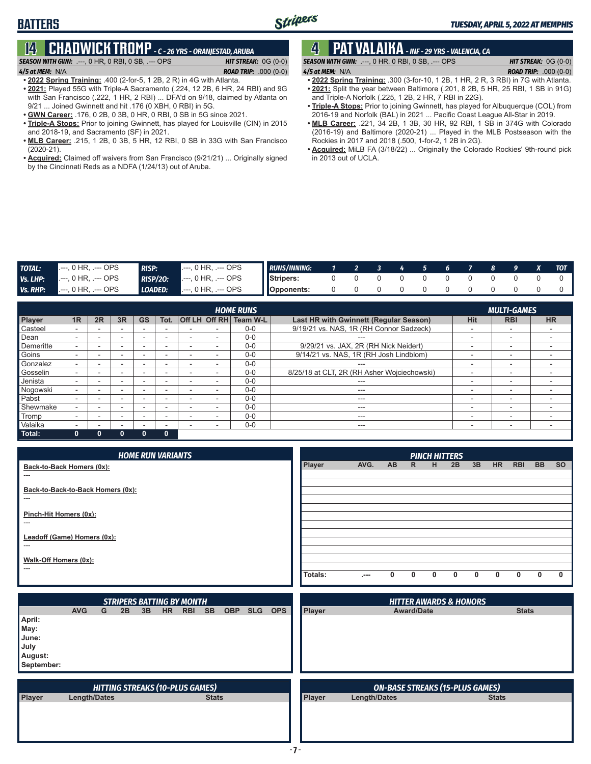# **14 CHADWICK TROMP** *- C - 26 YRS - ORANJESTAD, ARUBA*

*SEASON WITH GWN:*.---, 0 HR, 0 RBI, 0 SB, .--- OPS *HIT STREAK:* 0G (0-0) *4/5 at MEM:*N/A *ROAD TRIP:* .000 (0-0)

**• 2022 Spring Training:** .400 (2-for-5, 1 2B, 2 R) in 4G with Atlanta.

- **• 2021:** Played 55G with Triple-A Sacramento (.224, 12 2B, 6 HR, 24 RBI) and 9G with San Francisco (.222, 1 HR, 2 RBI) ... DFA'd on 9/18, claimed by Atlanta on 9/21 ... Joined Gwinnett and hit .176 (0 XBH, 0 RBI) in 5G.
- **• GWN Career:** .176, 0 2B, 0 3B, 0 HR, 0 RBI, 0 SB in 5G since 2021.
- **• Triple-A Stops:** Prior to joining Gwinnett, has played for Louisville (CIN) in 2015 and 2018-19, and Sacramento (SF) in 2021.
- **• MLB Career:** .215, 1 2B, 0 3B, 5 HR, 12 RBI, 0 SB in 33G with San Francisco (2020-21).
- **• Acquired:** Claimed off waivers from San Francisco (9/21/21) ... Originally signed by the Cincinnati Reds as a NDFA (1/24/13) out of Aruba.

# **4 PAT VALAIKA** *- INF - 29 YRS - VALENCIA, CA*

*SEASON WITH GWN:*.---, 0 HR, 0 RBI, 0 SB, .--- OPS *HIT STREAK:* 0G (0-0) *4/5 at MEM:*N/A *ROAD TRIP:* .000 (0-0)

- **• 2022 Spring Training:** .300 (3-for-10, 1 2B, 1 HR, 2 R, 3 RBI) in 7G with Atlanta. **• 2021:** Split the year between Baltimore (.201, 8 2B, 5 HR, 25 RBI, 1 SB in 91G)
- and Triple-A Norfolk (.225, 1 2B, 2 HR, 7 RBI in 22G).
- **• Triple-A Stops:** Prior to joining Gwinnett, has played for Albuquerque (COL) from 2016-19 and Norfolk (BAL) in 2021 ... Pacific Coast League All-Star in 2019.
- **• MLB Career:** .221, 34 2B, 1 3B, 30 HR, 92 RBI, 1 SB in 374G with Colorado (2016-19) and Baltimore (2020-21) ... Played in the MLB Postseason with the Rockies in 2017 and 2018 (.500, 1-for-2, 1 2B in 2G).
- **• Acquired:** MiLB FA (3/18/22) ... Originally the Colorado Rockies' 9th-round pick in 2013 out of UCLA.

| <b>TOTAL:</b> | 0 HR. .--- OPS               | <b>RISP:</b>    | $---$ OPS<br>$\sim$       | <b>RUNS/INNING:</b> |  |  |  |  |  | <b>TOT</b> |
|---------------|------------------------------|-----------------|---------------------------|---------------------|--|--|--|--|--|------------|
| Vs. LHP:      | , 0 HR, .--- OPS             | <b>RISP/20:</b> | , 0 HR, .--- OPS          | Stripers:           |  |  |  |  |  |            |
| Vs. RHP:      | <b>1.---, 0 HR, .--- OPS</b> | LOADED:         | $---$ OPS<br>l.---. 0 HR. | <b>I</b> Opponents: |  |  |  |  |  |            |

|           | <b>HOME RUNS</b><br><b>MULTI-GAMES</b> |        |    |           |              |   |  |                        |                                             |            |                          |                          |
|-----------|----------------------------------------|--------|----|-----------|--------------|---|--|------------------------|---------------------------------------------|------------|--------------------------|--------------------------|
| Player    | 1R                                     | 2R     | 3R | <b>GS</b> | Tot.         |   |  | Off LH Off RH Team W-L | Last HR with Gwinnett (Regular Season)      | <b>Hit</b> | <b>RBI</b>               | <b>HR</b>                |
| Casteel   |                                        |        | -  |           |              |   |  | $0 - 0$                | 9/19/21 vs. NAS, 1R (RH Connor Sadzeck)     |            | $\overline{\phantom{a}}$ |                          |
| Dean      |                                        | -      | ۰  |           | -            |   |  | $0 - 0$                |                                             | -          | $\overline{\phantom{0}}$ |                          |
| Demeritte |                                        | -      | -  |           | -            | ۰ |  | $0 - 0$                | 9/29/21 vs. JAX, 2R (RH Nick Neidert)       | -          | -                        | . .                      |
| Goins     |                                        |        | -  |           | -            |   |  | $0 - 0$                | 9/14/21 vs. NAS, 1R (RH Josh Lindblom)      | -          | $\overline{\phantom{0}}$ |                          |
| Gonzalez  |                                        | -      | ۰  |           | -            | - |  | $0 - 0$                | $- - -$                                     | -          | $\overline{\phantom{0}}$ | . .                      |
| Gosselin  |                                        | -      | -  |           | -            |   |  | $0 - 0$                | 8/25/18 at CLT, 2R (RH Asher Wojciechowski) | -          | $\overline{\phantom{a}}$ |                          |
| Jenista   |                                        | -      | -  |           | -            |   |  | $0 - 0$                | ---                                         | -          | $\overline{\phantom{0}}$ |                          |
| Nogowski  |                                        | -      | -  |           |              |   |  | $0 - 0$                | ---                                         | -          | -                        | $\overline{\phantom{0}}$ |
| Pabst     |                                        | $\sim$ | -  |           | -            |   |  | $0 - 0$                | ---                                         | ۰          | $\overline{\phantom{a}}$ | . .                      |
| Shewmake  |                                        |        |    | -         | -            | ۰ |  | $0 - 0$                | $--$                                        | -          | $\overline{\phantom{0}}$ | $\overline{\phantom{0}}$ |
| Tromp     |                                        |        | -  |           | -            |   |  | $0 - 0$                | ---                                         | -          | -                        | . .                      |
| Valaika   |                                        |        | -  |           | -            |   |  | $0 - 0$                | ---                                         | -          | -                        |                          |
| Total:    | $\mathbf{0}$                           |        | n  | $\Omega$  | $\mathbf{0}$ |   |  |                        |                                             |            |                          |                          |

| <b>HOME RUN VARIANTS</b>             |               |       |          |              |              | <b>PINCH HITTERS</b> |    |           |            |           |           |
|--------------------------------------|---------------|-------|----------|--------------|--------------|----------------------|----|-----------|------------|-----------|-----------|
| Back-to-Back Homers (0x):            | <b>Player</b> | AVG.  | AB.      | $\mathsf{R}$ | H            | 2B                   | 3B | <b>HR</b> | <b>RBI</b> | <b>BB</b> | <b>SO</b> |
| $---$                                |               |       |          |              |              |                      |    |           |            |           |           |
| Back-to-Back-to-Back Homers (0x):    |               |       |          |              |              |                      |    |           |            |           |           |
| $---$                                |               |       |          |              |              |                      |    |           |            |           |           |
| Pinch-Hit Homers (0x):<br>$---$      |               |       |          |              |              |                      |    |           |            |           |           |
|                                      |               |       |          |              |              |                      |    |           |            |           |           |
| Leadoff (Game) Homers (0x):<br>$---$ |               |       |          |              |              |                      |    |           |            |           |           |
|                                      |               |       |          |              |              |                      |    |           |            |           |           |
| Walk-Off Homers (0x):<br>$---$       |               |       |          |              |              |                      |    |           |            |           |           |
|                                      | Totals:       | . --- | $\Omega$ | $\mathbf{0}$ | $\mathbf{0}$ | 0                    | 0  | 0         | 0          | 0         |           |

|                                                          |                     |   |    |    |           | <b>STRIPERS BATTING BY MONTH</b>       |              |            |            |            |               |                     | <b>HITTER AWARDS &amp; HONORS</b>      |              |              |
|----------------------------------------------------------|---------------------|---|----|----|-----------|----------------------------------------|--------------|------------|------------|------------|---------------|---------------------|----------------------------------------|--------------|--------------|
|                                                          | <b>AVG</b>          | G | 2B | 3B | <b>HR</b> | <b>RBI</b>                             | <b>SB</b>    | <b>OBP</b> | <b>SLG</b> | <b>OPS</b> | Player        |                     | <b>Award/Date</b>                      |              | <b>Stats</b> |
| April:<br>May:<br>June:<br>July<br>August:<br>September: |                     |   |    |    |           |                                        |              |            |            |            |               |                     |                                        |              |              |
|                                                          |                     |   |    |    |           | <b>HITTING STREAKS (10-PLUS GAMES)</b> |              |            |            |            |               |                     | <b>ON-BASE STREAKS (15-PLUS GAMES)</b> |              |              |
| Player                                                   | <b>Length/Dates</b> |   |    |    |           |                                        | <b>Stats</b> |            |            |            | <b>Player</b> | <b>Length/Dates</b> |                                        | <b>Stats</b> |              |
|                                                          |                     |   |    |    |           |                                        |              |            |            |            |               |                     |                                        |              |              |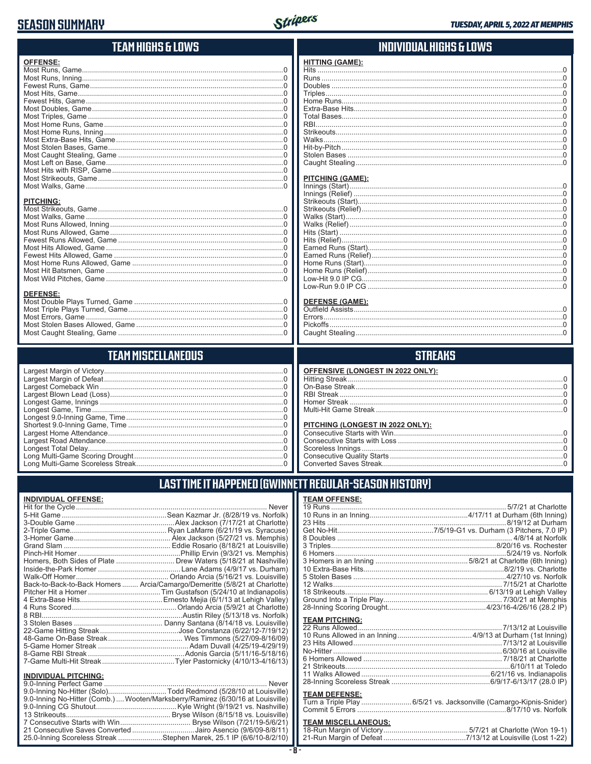## **SEASON SUMMARY**



| TEAM HIGHS & LOWS         | INDIVIDUAL HIGHS & LOWS           |
|---------------------------|-----------------------------------|
| <b>OFFENSE:</b>           | <b>HITTING (GAME):</b>            |
|                           |                                   |
|                           |                                   |
|                           |                                   |
|                           |                                   |
|                           |                                   |
|                           |                                   |
|                           |                                   |
|                           |                                   |
|                           |                                   |
|                           |                                   |
|                           |                                   |
|                           |                                   |
|                           |                                   |
|                           |                                   |
|                           |                                   |
|                           | <b>PITCHING (GAME):</b>           |
|                           |                                   |
|                           |                                   |
| <b>PITCHING:</b>          |                                   |
|                           |                                   |
|                           |                                   |
|                           |                                   |
|                           |                                   |
|                           |                                   |
|                           |                                   |
|                           |                                   |
|                           |                                   |
|                           |                                   |
|                           |                                   |
|                           |                                   |
| DEFENSE:                  |                                   |
|                           | <b>DEFENSE (GAME):</b>            |
|                           |                                   |
|                           |                                   |
|                           |                                   |
|                           |                                   |
|                           |                                   |
| <b>TEAM MISCELLANEOUS</b> | <b>STREAKS</b>                    |
|                           | OFFENSIVE (LONGEST IN 2022 ONLY): |
|                           |                                   |
|                           |                                   |
|                           |                                   |
|                           |                                   |
|                           |                                   |
|                           |                                   |
|                           |                                   |
|                           |                                   |
|                           |                                   |
|                           |                                   |
|                           |                                   |
|                           |                                   |
|                           |                                   |

### LAST TIME IT HAPPENED (GWINNETT REGULAR-SEASON HISTORY)

#### **INDIVIDUAL OFFENSE:**

|                             | Homers, Both Sides of Plate  Drew Waters (5/18/21 at Nashville)            |
|-----------------------------|----------------------------------------------------------------------------|
|                             |                                                                            |
|                             |                                                                            |
|                             | Back-to-Back-to-Back Homers  Arcia/Camargo/Demeritte (5/8/21 at Charlotte) |
|                             |                                                                            |
|                             |                                                                            |
|                             |                                                                            |
|                             |                                                                            |
|                             |                                                                            |
|                             |                                                                            |
|                             |                                                                            |
|                             |                                                                            |
|                             |                                                                            |
|                             |                                                                            |
| <b>INDIVIDUAL PITCHING:</b> |                                                                            |
| 9.0-Inning Perfect Game     | Never                                                                      |

| 9.0-Inning No-Hitter (Solo)Todd Redmond (5/28/10 at Louisville                |
|-------------------------------------------------------------------------------|
| 9.0-Inning No-Hitter (Comb.) Wooten/Marksberry/Ramirez (6/30/16 at Louisville |
|                                                                               |
|                                                                               |
|                                                                               |
| 21 Consecutive Saves Converted Jairo Asencio (9/6/09-8/8/11                   |
| 25.0-Inning Scoreless Streak Stephen Marek, 25.1 IP (6/6/10-8/2/10            |

| <b>TEAM OFFENSE:</b>  |                         |
|-----------------------|-------------------------|
|                       |                         |
|                       |                         |
|                       |                         |
|                       |                         |
|                       |                         |
|                       |                         |
|                       |                         |
|                       |                         |
|                       |                         |
|                       |                         |
|                       |                         |
|                       |                         |
|                       |                         |
|                       |                         |
| <b>TEAM PITCHING:</b> |                         |
| 22 Rune Allowed       | $7/13/12$ at Louisville |

#### **TEAM DEFENSE:**

| [urn a Triple Play 6/5/21 vs. Jacksonville (Camargo-Kipnis-Snider) |
|--------------------------------------------------------------------|
|                                                                    |

#### **TEAM MISCELLANEOUS:**  $\overline{18}$